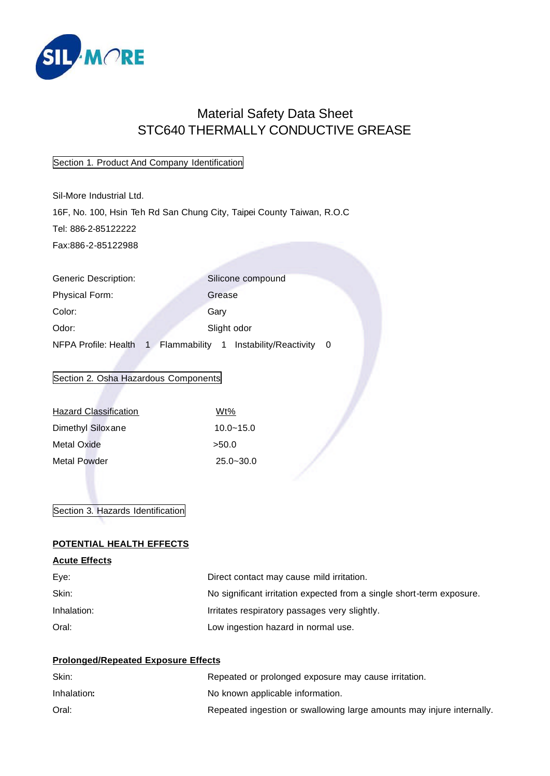

# Material Safety Data Sheet STC640 THERMALLY CONDUCTIVE GREASE

# Section 1. Product And Company Identification

Sil-More Industrial Ltd. 16F, No. 100, Hsin Teh Rd San Chung City, Taipei County Taiwan, R.O.C Tel: 886-2-85122222 Fax:886-2-85122988

Generic Description: Silicone compound Physical Form: Grease Color: Gary Odor: Slight odor NFPA Profile: Health 1 Flammability 1 Instability/Reactivity 0

# Section 2. Osha Hazardous Components

| <b>Hazard Classification</b> | Wt%           |
|------------------------------|---------------|
| Dimethyl Siloxane            | $10.0 - 15.0$ |
| Metal Oxide                  | >50.0         |
| Metal Powder                 | $25.0 - 30.0$ |

# Section 3. Hazards Identification

#### **POTENTIAL HEALTH EFFECTS**

#### **Acute Effects**

| Eye:        | Direct contact may cause mild irritation.                             |
|-------------|-----------------------------------------------------------------------|
| Skin:       | No significant irritation expected from a single short-term exposure. |
| Inhalation: | Irritates respiratory passages very slightly.                         |
| Oral:       | Low ingestion hazard in normal use.                                   |

# **Prolonged/Repeated Exposure Effects**

| Skin:       | Repeated or prolonged exposure may cause irritation.                  |
|-------------|-----------------------------------------------------------------------|
| Inhalation: | No known applicable information.                                      |
| Oral:       | Repeated ingestion or swallowing large amounts may injure internally. |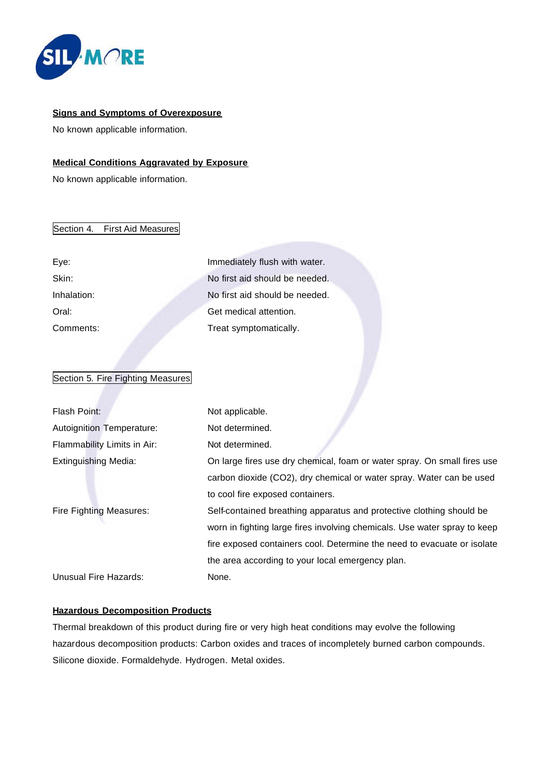

#### **Signs and Symptoms of Overexposure**

No known applicable information.

#### **Medical Conditions Aggravated by Exposure**

No known applicable information.

#### Section 4. First Aid Measures

Eye: Immediately flush with water. Skin: Skin: No first aid should be needed. Inhalation: No first aid should be needed. Oral: Get medical attention. Comments: Treat symptomatically.

# Section 5. Fire Fighting Measures

| Flash Point:                | Not applicable.                                                           |
|-----------------------------|---------------------------------------------------------------------------|
| Autoignition Temperature:   | Not determined.                                                           |
| Flammability Limits in Air: | Not determined.                                                           |
| <b>Extinguishing Media:</b> | On large fires use dry chemical, foam or water spray. On small fires use  |
|                             | carbon dioxide (CO2), dry chemical or water spray. Water can be used      |
|                             | to cool fire exposed containers.                                          |
| Fire Fighting Measures:     | Self-contained breathing apparatus and protective clothing should be      |
|                             | worn in fighting large fires involving chemicals. Use water spray to keep |
|                             | fire exposed containers cool. Determine the need to evacuate or isolate   |
|                             | the area according to your local emergency plan.                          |
| Unusual Fire Hazards:       | None.                                                                     |

# **Hazardous Decomposition Products**

Thermal breakdown of this product during fire or very high heat conditions may evolve the following hazardous decomposition products: Carbon oxides and traces of incompletely burned carbon compounds. Silicone dioxide. Formaldehyde. Hydrogen. Metal oxides.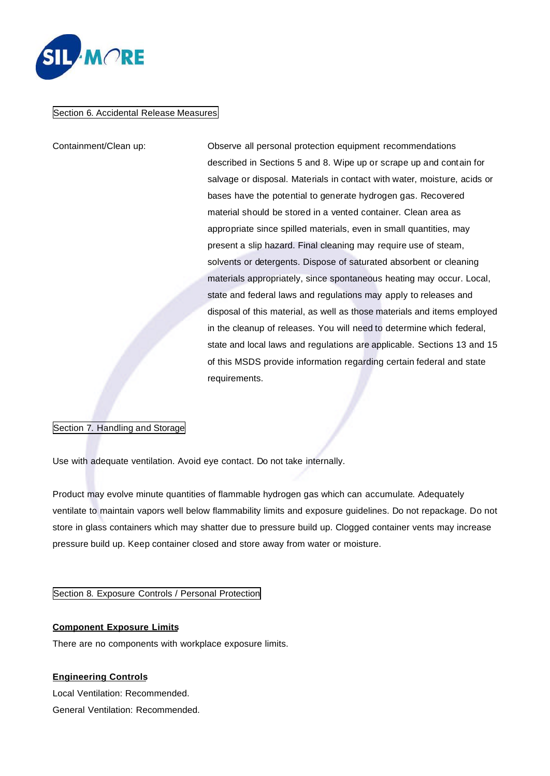

#### Section 6. Accidental Release Measures

Containment/Clean up: Observe all personal protection equipment recommendations described in Sections 5 and 8. Wipe up or scrape up and contain for salvage or disposal. Materials in contact with water, moisture, acids or bases have the potential to generate hydrogen gas. Recovered material should be stored in a vented container. Clean area as appropriate since spilled materials, even in small quantities, may present a slip hazard. Final cleaning may require use of steam, solvents or detergents. Dispose of saturated absorbent or cleaning materials appropriately, since spontaneous heating may occur. Local, state and federal laws and regulations may apply to releases and disposal of this material, as well as those materials and items employed in the cleanup of releases. You will need to determine which federal, state and local laws and regulations are applicable. Sections 13 and 15 of this MSDS provide information regarding certain federal and state requirements.

#### Section 7. Handling and Storage

Use with adequate ventilation. Avoid eye contact. Do not take internally.

Product may evolve minute quantities of flammable hydrogen gas which can accumulate. Adequately ventilate to maintain vapors well below flammability limits and exposure guidelines. Do not repackage. Do not store in glass containers which may shatter due to pressure build up. Clogged container vents may increase pressure build up. Keep container closed and store away from water or moisture.

#### Section 8. Exposure Controls / Personal Protection

#### **Component Exposure Limits**

There are no components with workplace exposure limits.

#### **Engineering Controls**

Local Ventilation: Recommended. General Ventilation: Recommended.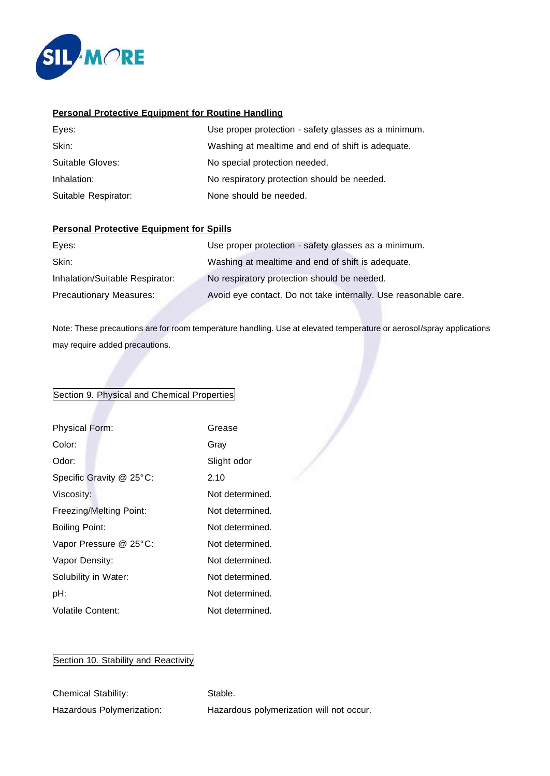

#### **Personal Protective Equipment for Routine Handling**

| Eyes:                | Use proper protection - safety glasses as a minimum. |
|----------------------|------------------------------------------------------|
| Skin:                | Washing at mealtime and end of shift is adequate.    |
| Suitable Gloves:     | No special protection needed.                        |
| Inhalation:          | No respiratory protection should be needed.          |
| Suitable Respirator: | None should be needed.                               |

#### **Personal Protective Equipment for Spills**

| Eyes:                           | Use proper protection - safety glasses as a minimum.            |
|---------------------------------|-----------------------------------------------------------------|
| Skin:                           | Washing at mealtime and end of shift is adequate.               |
| Inhalation/Suitable Respirator: | No respiratory protection should be needed.                     |
| <b>Precautionary Measures:</b>  | Avoid eye contact. Do not take internally. Use reasonable care. |

Note: These precautions are for room temperature handling. Use at elevated temperature or aerosol/spray applications may require added precautions.

# Section 9. Physical and Chemical Properties

| <b>Physical Form:</b>    | Grease          |
|--------------------------|-----------------|
| Color:                   | Grav            |
| Odor:                    | Slight odor     |
| Specific Gravity @ 25°C: | 2.10            |
| Viscosity:               | Not determined. |
| Freezing/Melting Point:  | Not determined. |
| Boiling Point:           | Not determined. |
| Vapor Pressure @ 25°C:   | Not determined. |
| Vapor Density:           | Not determined. |
| Solubility in Water:     | Not determined. |
| pH:                      | Not determined. |
| <b>Volatile Content:</b> | Not determined. |

# Section 10. Stability and Reactivity

| <b>Chemical Stability:</b> | Stable.                                  |
|----------------------------|------------------------------------------|
| Hazardous Polymerization:  | Hazardous polymerization will not occur. |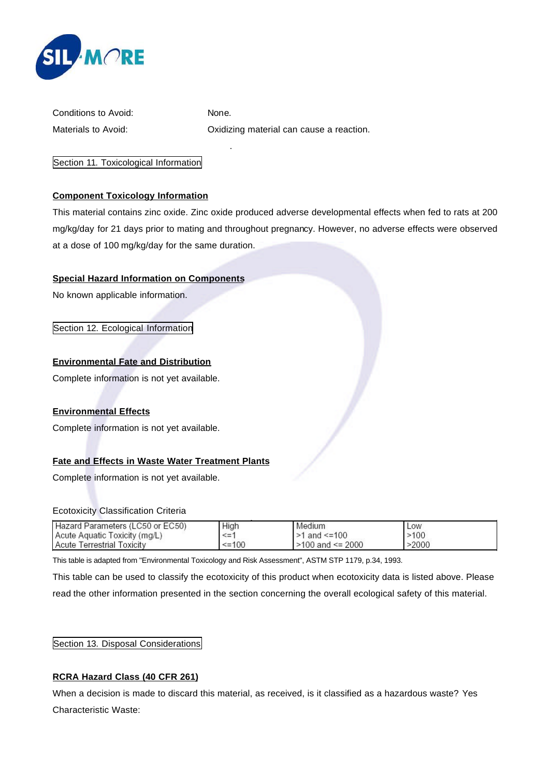

| Conditions to Avoid: |  |
|----------------------|--|
| Materials to Avoid:  |  |

None.

.

Oxidizing material can cause a reaction.

Section 11. Toxicological Information

# **Component Toxicology Information**

This material contains zinc oxide. Zinc oxide produced adverse developmental effects when fed to rats at 200 mg/kg/day for 21 days prior to mating and throughout pregnancy. However, no adverse effects were observed at a dose of 100 mg/kg/day for the same duration.

# **Special Hazard Information on Components**

No known applicable information.

Section 12. Ecological Information

# **Environmental Fate and Distribution**

Complete information is not yet available.

#### **Environmental Effects**

Complete information is not yet available.

# **Fate and Effects in Waste Water Treatment Plants**

Complete information is not yet available.

#### Ecotoxicity Classification Criteria

| Hazard Parameters (LC50 or EC50)  | High         | Medium                 | Low   |  |
|-----------------------------------|--------------|------------------------|-------|--|
| Acute Aquatic Toxicity (mg/L)     | <=           | $>1$ and $\leq 100$    | >100  |  |
| <b>Acute Terrestrial Toxicity</b> | $\leq$ = 100 | $>100$ and $\leq 2000$ | >2000 |  |

This table is adapted from "Environmental Toxicology and Risk Assessment", ASTM STP 1179, p.34, 1993.

This table can be used to classify the ecotoxicity of this product when ecotoxicity data is listed above. Please read the other information presented in the section concerning the overall ecological safety of this material.

Section 13. Disposal Considerations

#### **RCRA Hazard Class (40 CFR 261)**

When a decision is made to discard this material, as received, is it classified as a hazardous waste? Yes Characteristic Waste: